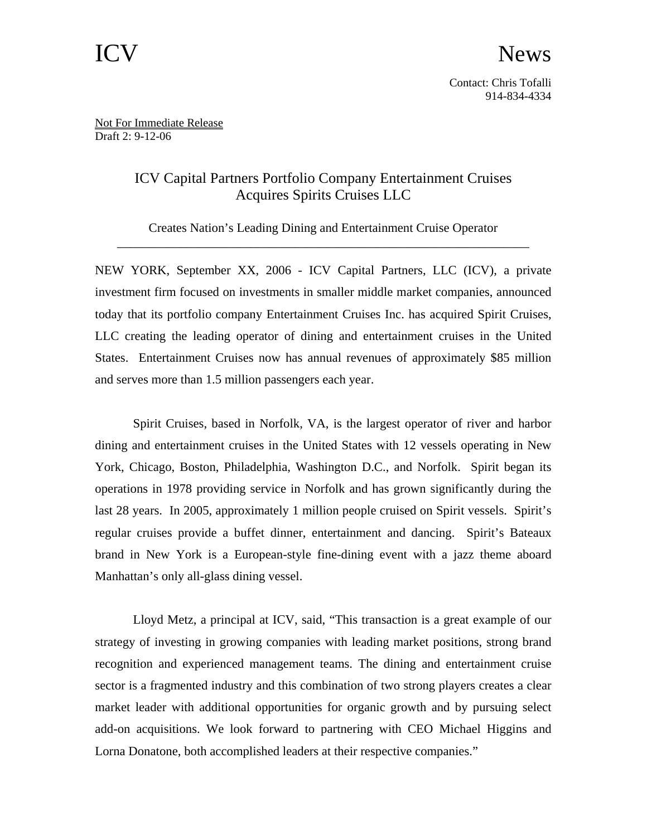Not For Immediate Release Draft 2: 9-12-06

## ICV Capital Partners Portfolio Company Entertainment Cruises Acquires Spirits Cruises LLC

Creates Nation's Leading Dining and Entertainment Cruise Operator \_\_\_\_\_\_\_\_\_\_\_\_\_\_\_\_\_\_\_\_\_\_\_\_\_\_\_\_\_\_\_\_\_\_\_\_\_\_\_\_\_\_\_\_\_\_\_\_\_\_\_\_\_\_\_\_\_\_\_\_\_\_\_\_\_

NEW YORK, September XX, 2006 - ICV Capital Partners, LLC (ICV), a private investment firm focused on investments in smaller middle market companies, announced today that its portfolio company Entertainment Cruises Inc. has acquired Spirit Cruises, LLC creating the leading operator of dining and entertainment cruises in the United States. Entertainment Cruises now has annual revenues of approximately \$85 million and serves more than 1.5 million passengers each year.

Spirit Cruises, based in Norfolk, VA, is the largest operator of river and harbor dining and entertainment cruises in the United States with 12 vessels operating in New York, Chicago, Boston, Philadelphia, Washington D.C., and Norfolk. Spirit began its operations in 1978 providing service in Norfolk and has grown significantly during the last 28 years. In 2005, approximately 1 million people cruised on Spirit vessels. Spirit's regular cruises provide a buffet dinner, entertainment and dancing. Spirit's Bateaux brand in New York is a European-style fine-dining event with a jazz theme aboard Manhattan's only all-glass dining vessel.

Lloyd Metz, a principal at ICV, said, "This transaction is a great example of our strategy of investing in growing companies with leading market positions, strong brand recognition and experienced management teams. The dining and entertainment cruise sector is a fragmented industry and this combination of two strong players creates a clear market leader with additional opportunities for organic growth and by pursuing select add-on acquisitions. We look forward to partnering with CEO Michael Higgins and Lorna Donatone, both accomplished leaders at their respective companies."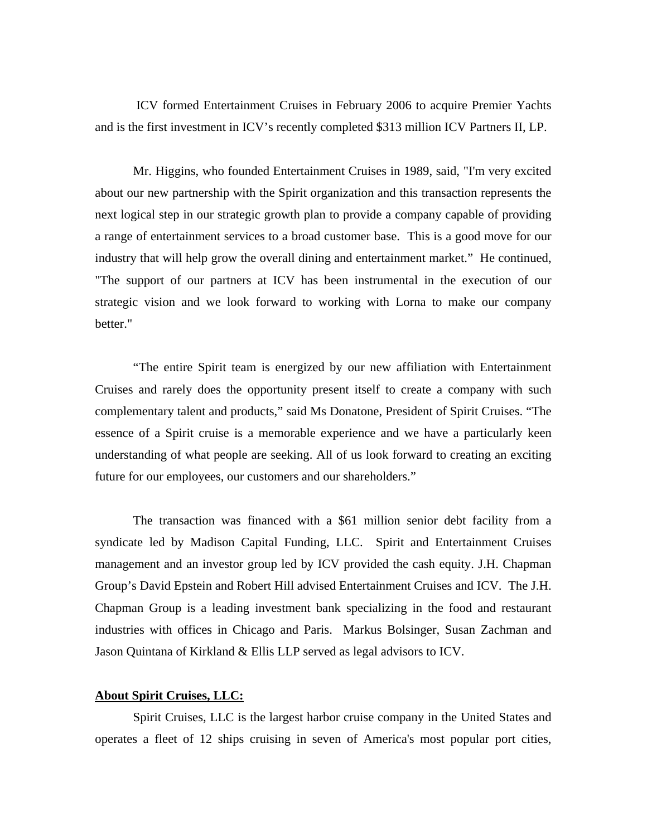ICV formed Entertainment Cruises in February 2006 to acquire Premier Yachts and is the first investment in ICV's recently completed \$313 million ICV Partners II, LP.

Mr. Higgins, who founded Entertainment Cruises in 1989, said, "I'm very excited about our new partnership with the Spirit organization and this transaction represents the next logical step in our strategic growth plan to provide a company capable of providing a range of entertainment services to a broad customer base. This is a good move for our industry that will help grow the overall dining and entertainment market." He continued, "The support of our partners at ICV has been instrumental in the execution of our strategic vision and we look forward to working with Lorna to make our company better."

"The entire Spirit team is energized by our new affiliation with Entertainment Cruises and rarely does the opportunity present itself to create a company with such complementary talent and products," said Ms Donatone, President of Spirit Cruises. "The essence of a Spirit cruise is a memorable experience and we have a particularly keen understanding of what people are seeking. All of us look forward to creating an exciting future for our employees, our customers and our shareholders."

The transaction was financed with a \$61 million senior debt facility from a syndicate led by Madison Capital Funding, LLC. Spirit and Entertainment Cruises management and an investor group led by ICV provided the cash equity. J.H. Chapman Group's David Epstein and Robert Hill advised Entertainment Cruises and ICV. The J.H. Chapman Group is a leading investment bank specializing in the food and restaurant industries with offices in Chicago and Paris. Markus Bolsinger, Susan Zachman and Jason Quintana of Kirkland & Ellis LLP served as legal advisors to ICV.

## **About Spirit Cruises, LLC:**

Spirit Cruises, LLC is the largest harbor cruise company in the United States and operates a fleet of 12 ships cruising in seven of America's most popular port cities,